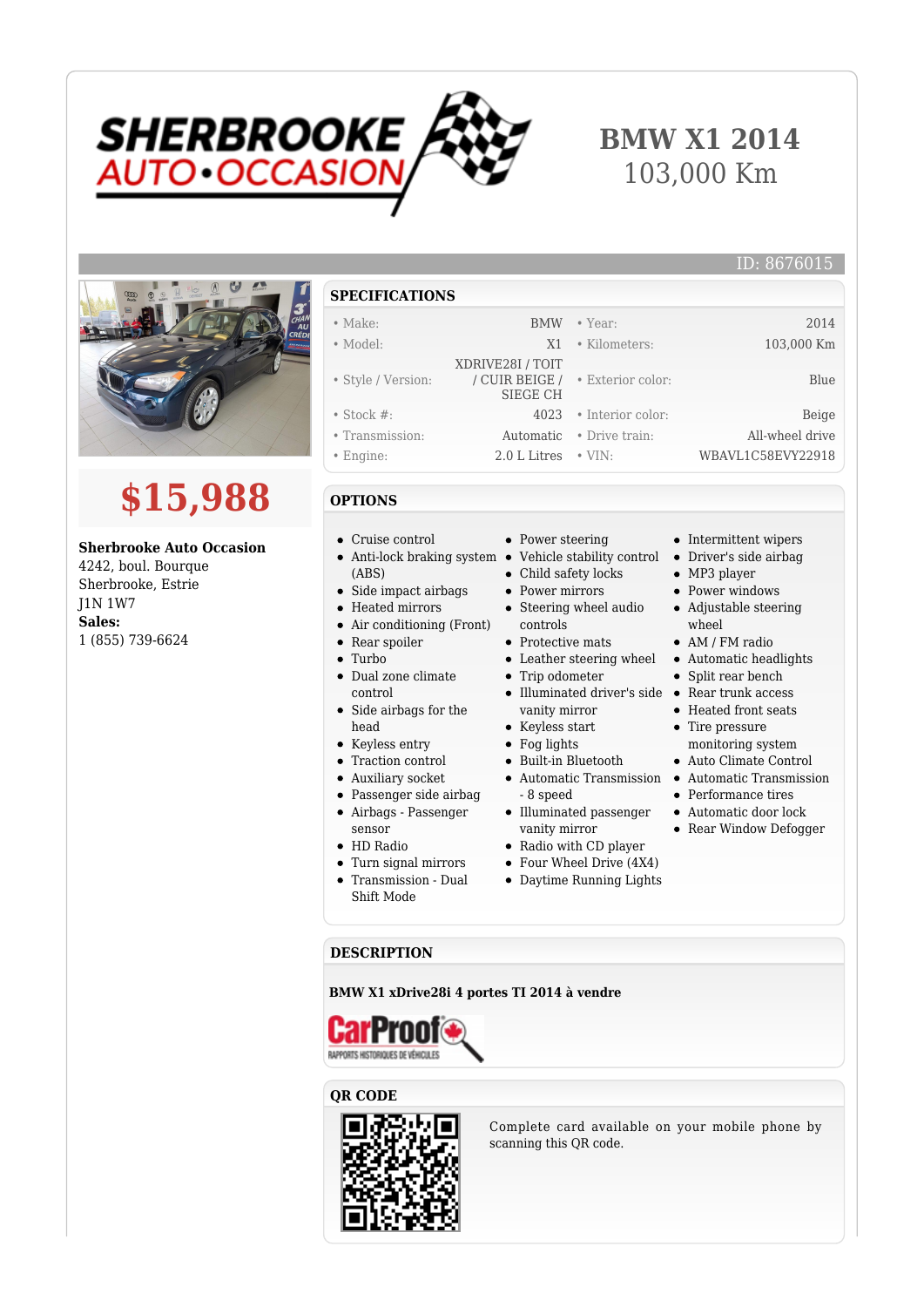

## **BMW X1 2014** 103,000 Km



# **\$15,988**

#### **Sherbrooke Auto Occasion**

4242, boul. Bourque Sherbrooke, Estrie J1N 1W7 **Sales:** 1 (855) 739-6624

#### **SPECIFICATIONS**

### • Make: BMW • Year: 2014

- 
- Model: X1 Kilometers: 103,000 Km • Style / Version: XDRIVE28I / TOIT / CUIR BEIGE / SIEGE CH • Exterior color: Blue • Stock #: 4023 • Interior color: Beige • Transmission: Automatic • Drive train: All-wheel drive
- Engine: 2.0 L Litres VIN: WBAVL1C58EVY22918

#### **OPTIONS**

Cruise control

• Rear spoiler • Turbo

control

head • Keyless entry Traction control Auxiliary socket Passenger side airbag Airbags - Passenger

sensor • HD Radio

Anti-lock braking system • Vehicle stability control • Driver's side airbag (ABS)

• Side impact airbags Heated mirrors Air conditioning (Front)

Dual zone climate

• Side airbags for the

Turn signal mirrors Transmission - Dual Shift Mode

- Child safety locks Power mirrors
	- Steering wheel audio controls
	- Protective mats

• Power steering

- 
- Trip odometer
- Illuminated driver's side Rear trunk access vanity mirror
- Keyless start
- Fog lights
- $\bullet~$  Built-in Bluetooth
- 8 speed
- $\bullet~$  Illuminated passenger vanity mirror
- Radio with CD player
- Four Wheel Drive (4X4)
- Daytime Running Lights
- 
- 

#### **DESCRIPTION**

#### **BMW X1 xDrive28i 4 portes TI 2014 à vendre**



#### **QR CODE**



Complete card available on your mobile phone by scanning this QR code.

- Intermittent wipers
	-

ID: 8676015

- MP3 player
- Power windows
- Adjustable steering wheel
- AM / FM radio
- Leather steering wheel Automatic headlights
	- Split rear bench
	-
	- Heated front seats
	- Tire pressure monitoring system
	- Auto Climate Control
- Automatic Transmission Automatic Transmission
	- Performance tires
	- Automatic door lock
	- Rear Window Defogger